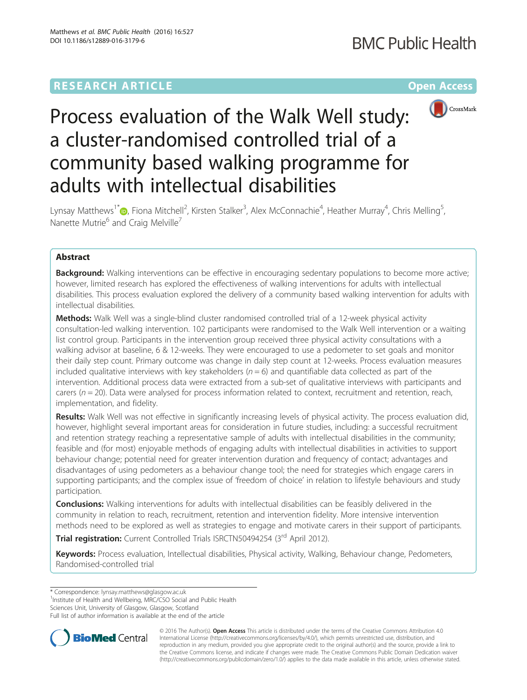# **RESEARCH ARTICLE Example 2014 12:30 The Community Community Community Community Community Community Community**



# Process evaluation of the Walk Well study: a cluster-randomised controlled trial of a community based walking programme for adults with intellectual disabilities

Lynsay Matthews<sup>1[\\*](http://orcid.org/0000-0002-5760-1080)</sup>®, Fiona Mitchell<sup>2</sup>, Kirsten Stalker<sup>3</sup>, Alex McConnachie<sup>4</sup>, Heather Murray<sup>4</sup>, Chris Melling<sup>5</sup> , Nanette Mutrie<sup>6</sup> and Craig Melville<sup>7</sup>

# Abstract

**Background:** Walking interventions can be effective in encouraging sedentary populations to become more active; however, limited research has explored the effectiveness of walking interventions for adults with intellectual disabilities. This process evaluation explored the delivery of a community based walking intervention for adults with intellectual disabilities.

Methods: Walk Well was a single-blind cluster randomised controlled trial of a 12-week physical activity consultation-led walking intervention. 102 participants were randomised to the Walk Well intervention or a waiting list control group. Participants in the intervention group received three physical activity consultations with a walking advisor at baseline, 6 & 12-weeks. They were encouraged to use a pedometer to set goals and monitor their daily step count. Primary outcome was change in daily step count at 12-weeks. Process evaluation measures included qualitative interviews with key stakeholders  $(n = 6)$  and quantifiable data collected as part of the intervention. Additional process data were extracted from a sub-set of qualitative interviews with participants and carers ( $n = 20$ ). Data were analysed for process information related to context, recruitment and retention, reach, implementation, and fidelity.

Results: Walk Well was not effective in significantly increasing levels of physical activity. The process evaluation did, however, highlight several important areas for consideration in future studies, including: a successful recruitment and retention strategy reaching a representative sample of adults with intellectual disabilities in the community; feasible and (for most) enjoyable methods of engaging adults with intellectual disabilities in activities to support behaviour change; potential need for greater intervention duration and frequency of contact; advantages and disadvantages of using pedometers as a behaviour change tool; the need for strategies which engage carers in supporting participants; and the complex issue of 'freedom of choice' in relation to lifestyle behaviours and study participation.

**Conclusions:** Walking interventions for adults with intellectual disabilities can be feasibly delivered in the community in relation to reach, recruitment, retention and intervention fidelity. More intensive intervention methods need to be explored as well as strategies to engage and motivate carers in their support of participants.

Trial registration: Current Controlled Trials [ISRCTN50494254](http://www.isrctn.com/ISRCTN50494254) (3rd April 2012).

Keywords: Process evaluation, Intellectual disabilities, Physical activity, Walking, Behaviour change, Pedometers, Randomised-controlled trial

\* Correspondence: [lynsay.matthews@glasgow.ac.uk](mailto:lynsay.matthews@glasgow.ac.uk) <sup>1</sup>

<sup>1</sup> Institute of Health and Wellbeing, MRC/CSO Social and Public Health

Sciences Unit, University of Glasgow, Glasgow, Scotland

Full list of author information is available at the end of the article



© 2016 The Author(s). Open Access This article is distributed under the terms of the Creative Commons Attribution 4.0 International License [\(http://creativecommons.org/licenses/by/4.0/](http://creativecommons.org/licenses/by/4.0/)), which permits unrestricted use, distribution, and reproduction in any medium, provided you give appropriate credit to the original author(s) and the source, provide a link to the Creative Commons license, and indicate if changes were made. The Creative Commons Public Domain Dedication waiver [\(http://creativecommons.org/publicdomain/zero/1.0/](http://creativecommons.org/publicdomain/zero/1.0/)) applies to the data made available in this article, unless otherwise stated.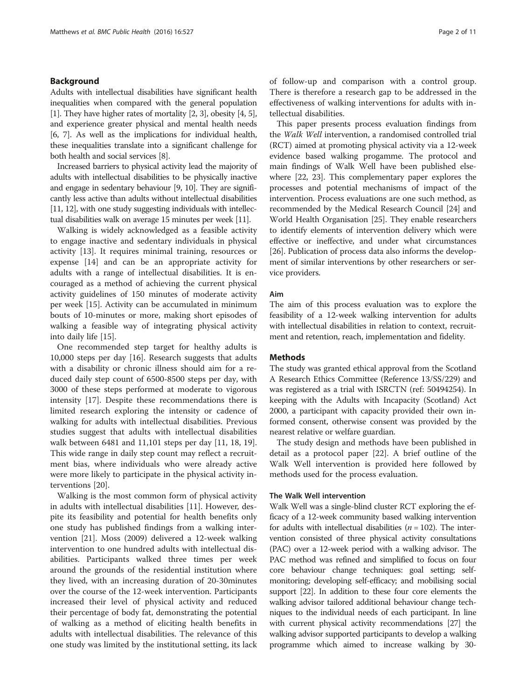# Background

Adults with intellectual disabilities have significant health inequalities when compared with the general population [[1](#page-9-0)]. They have higher rates of mortality [\[2](#page-9-0), [3](#page-9-0)], obesity [\[4](#page-9-0), [5](#page-9-0)], and experience greater physical and mental health needs [[6](#page-9-0), [7](#page-9-0)]. As well as the implications for individual health, these inequalities translate into a significant challenge for both health and social services [\[8](#page-9-0)].

Increased barriers to physical activity lead the majority of adults with intellectual disabilities to be physically inactive and engage in sedentary behaviour [\[9, 10](#page-9-0)]. They are significantly less active than adults without intellectual disabilities [[11](#page-9-0), [12](#page-9-0)], with one study suggesting individuals with intellectual disabilities walk on average 15 minutes per week [\[11\]](#page-9-0).

Walking is widely acknowledged as a feasible activity to engage inactive and sedentary individuals in physical activity [\[13](#page-9-0)]. It requires minimal training, resources or expense [\[14](#page-9-0)] and can be an appropriate activity for adults with a range of intellectual disabilities. It is encouraged as a method of achieving the current physical activity guidelines of 150 minutes of moderate activity per week [\[15](#page-9-0)]. Activity can be accumulated in minimum bouts of 10-minutes or more, making short episodes of walking a feasible way of integrating physical activity into daily life [\[15](#page-9-0)].

One recommended step target for healthy adults is 10,000 steps per day [\[16](#page-9-0)]. Research suggests that adults with a disability or chronic illness should aim for a reduced daily step count of 6500-8500 steps per day, with 3000 of these steps performed at moderate to vigorous intensity [\[17](#page-9-0)]. Despite these recommendations there is limited research exploring the intensity or cadence of walking for adults with intellectual disabilities. Previous studies suggest that adults with intellectual disabilities walk between 6481 and 11,101 steps per day [\[11](#page-9-0), [18](#page-9-0), [19](#page-9-0)]. This wide range in daily step count may reflect a recruitment bias, where individuals who were already active were more likely to participate in the physical activity interventions [[20\]](#page-9-0).

Walking is the most common form of physical activity in adults with intellectual disabilities [[11\]](#page-9-0). However, despite its feasibility and potential for health benefits only one study has published findings from a walking intervention [[21\]](#page-9-0). Moss (2009) delivered a 12-week walking intervention to one hundred adults with intellectual disabilities. Participants walked three times per week around the grounds of the residential institution where they lived, with an increasing duration of 20-30minutes over the course of the 12-week intervention. Participants increased their level of physical activity and reduced their percentage of body fat, demonstrating the potential of walking as a method of eliciting health benefits in adults with intellectual disabilities. The relevance of this one study was limited by the institutional setting, its lack of follow-up and comparison with a control group. There is therefore a research gap to be addressed in the effectiveness of walking interventions for adults with intellectual disabilities.

This paper presents process evaluation findings from the Walk Well intervention, a randomised controlled trial (RCT) aimed at promoting physical activity via a 12-week evidence based walking progamme. The protocol and main findings of Walk Well have been published elsewhere [[22](#page-9-0), [23](#page-9-0)]. This complementary paper explores the processes and potential mechanisms of impact of the intervention. Process evaluations are one such method, as recommended by the Medical Research Council [[24](#page-9-0)] and World Health Organisation [[25](#page-9-0)]. They enable researchers to identify elements of intervention delivery which were effective or ineffective, and under what circumstances [[26](#page-9-0)]. Publication of process data also informs the development of similar interventions by other researchers or service providers.

# Aim

The aim of this process evaluation was to explore the feasibility of a 12-week walking intervention for adults with intellectual disabilities in relation to context, recruitment and retention, reach, implementation and fidelity.

# Methods

The study was granted ethical approval from the Scotland A Research Ethics Committee (Reference 13/SS/229) and was registered as a trial with ISRCTN (ref: 50494254). In keeping with the Adults with Incapacity (Scotland) Act 2000, a participant with capacity provided their own informed consent, otherwise consent was provided by the nearest relative or welfare guardian.

The study design and methods have been published in detail as a protocol paper [\[22](#page-9-0)]. A brief outline of the Walk Well intervention is provided here followed by methods used for the process evaluation.

# The Walk Well intervention

Walk Well was a single-blind cluster RCT exploring the efficacy of a 12-week community based walking intervention for adults with intellectual disabilities ( $n = 102$ ). The intervention consisted of three physical activity consultations (PAC) over a 12-week period with a walking advisor. The PAC method was refined and simplified to focus on four core behaviour change techniques: goal setting; selfmonitoring; developing self-efficacy; and mobilising social support [\[22](#page-9-0)]. In addition to these four core elements the walking advisor tailored additional behaviour change techniques to the individual needs of each participant. In line with current physical activity recommendations [[27\]](#page-10-0) the walking advisor supported participants to develop a walking programme which aimed to increase walking by 30-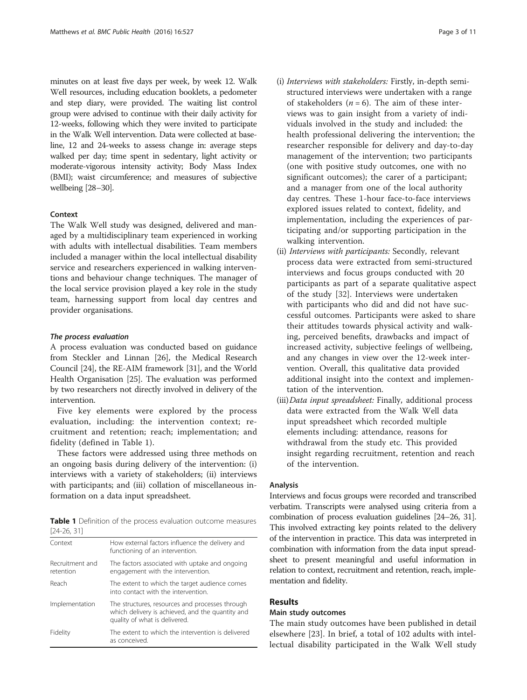minutes on at least five days per week, by week 12. Walk Well resources, including education booklets, a pedometer and step diary, were provided. The waiting list control group were advised to continue with their daily activity for 12-weeks, following which they were invited to participate in the Walk Well intervention. Data were collected at baseline, 12 and 24-weeks to assess change in: average steps walked per day; time spent in sedentary, light activity or moderate-vigorous intensity activity; Body Mass Index (BMI); waist circumference; and measures of subjective wellbeing [\[28](#page-10-0)–[30\]](#page-10-0).

# Context

The Walk Well study was designed, delivered and managed by a multidisciplinary team experienced in working with adults with intellectual disabilities. Team members included a manager within the local intellectual disability service and researchers experienced in walking interventions and behaviour change techniques. The manager of the local service provision played a key role in the study team, harnessing support from local day centres and provider organisations.

# The process evaluation

A process evaluation was conducted based on guidance from Steckler and Linnan [[26](#page-9-0)], the Medical Research Council [\[24\]](#page-9-0), the RE-AIM framework [\[31](#page-10-0)], and the World Health Organisation [\[25\]](#page-9-0). The evaluation was performed by two researchers not directly involved in delivery of the intervention.

Five key elements were explored by the process evaluation, including: the intervention context; recruitment and retention; reach; implementation; and fidelity (defined in Table 1).

These factors were addressed using three methods on an ongoing basis during delivery of the intervention: (i) interviews with a variety of stakeholders; (ii) interviews with participants; and (iii) collation of miscellaneous information on a data input spreadsheet.

|               | Table 1 Definition of the process evaluation outcome measures |  |  |  |
|---------------|---------------------------------------------------------------|--|--|--|
| $[24-26, 31]$ |                                                               |  |  |  |

| Context                      | How external factors influence the delivery and<br>functioning of an intervention.                                                   |
|------------------------------|--------------------------------------------------------------------------------------------------------------------------------------|
| Recruitment and<br>retention | The factors associated with uptake and ongoing<br>engagement with the intervention.                                                  |
| Reach                        | The extent to which the target audience comes<br>into contact with the intervention.                                                 |
| Implementation               | The structures, resources and processes through<br>which delivery is achieved, and the quantity and<br>quality of what is delivered. |
| Fidelity                     | The extent to which the intervention is delivered<br>as conceived.                                                                   |

- (i) Interviews with stakeholders: Firstly, in-depth semistructured interviews were undertaken with a range of stakeholders  $(n = 6)$ . The aim of these interviews was to gain insight from a variety of individuals involved in the study and included: the health professional delivering the intervention; the researcher responsible for delivery and day-to-day management of the intervention; two participants (one with positive study outcomes, one with no significant outcomes); the carer of a participant; and a manager from one of the local authority day centres. These 1-hour face-to-face interviews explored issues related to context, fidelity, and implementation, including the experiences of participating and/or supporting participation in the walking intervention.
- (ii) Interviews with participants: Secondly, relevant process data were extracted from semi-structured interviews and focus groups conducted with 20 participants as part of a separate qualitative aspect of the study [\[32](#page-10-0)]. Interviews were undertaken with participants who did and did not have successful outcomes. Participants were asked to share their attitudes towards physical activity and walking, perceived benefits, drawbacks and impact of increased activity, subjective feelings of wellbeing, and any changes in view over the 12-week intervention. Overall, this qualitative data provided additional insight into the context and implementation of the intervention.
- (iii)Data input spreadsheet: Finally, additional process data were extracted from the Walk Well data input spreadsheet which recorded multiple elements including: attendance, reasons for withdrawal from the study etc. This provided insight regarding recruitment, retention and reach of the intervention.

# Analysis

Interviews and focus groups were recorded and transcribed verbatim. Transcripts were analysed using criteria from a combination of process evaluation guidelines [\[24](#page-9-0)–[26,](#page-9-0) [31](#page-10-0)]. This involved extracting key points related to the delivery of the intervention in practice. This data was interpreted in combination with information from the data input spreadsheet to present meaningful and useful information in relation to context, recruitment and retention, reach, implementation and fidelity.

# Results

# Main study outcomes

The main study outcomes have been published in detail elsewhere [[23\]](#page-9-0). In brief, a total of 102 adults with intellectual disability participated in the Walk Well study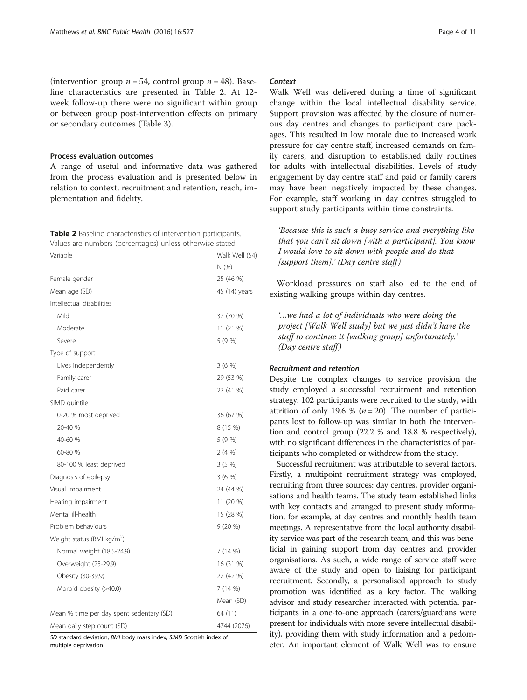<span id="page-3-0"></span>(intervention group  $n = 54$ , control group  $n = 48$ ). Baseline characteristics are presented in Table 2. At 12 week follow-up there were no significant within group or between group post-intervention effects on primary or secondary outcomes (Table [3](#page-4-0)).

#### Process evaluation outcomes

A range of useful and informative data was gathered from the process evaluation and is presented below in relation to context, recruitment and retention, reach, implementation and fidelity.

Table 2 Baseline characteristics of intervention participants. Values are numbers (percentages) unless otherwise stated

| Variable                                 | Walk Well (54) |
|------------------------------------------|----------------|
|                                          | N (%)          |
| Female gender                            | 25 (46 %)      |
| Mean age (SD)                            | 45 (14) years  |
| Intellectual disabilities                |                |
| Mild                                     | 37 (70 %)      |
| Moderate                                 | 11 (21 %)      |
| Severe                                   | 5 (9 %)        |
| Type of support                          |                |
| Lives independently                      | 3(6%)          |
| Family carer                             | 29 (53 %)      |
| Paid carer                               | 22 (41 %)      |
| SIMD quintile                            |                |
| 0-20 % most deprived                     | 36 (67 %)      |
| 20-40 %                                  | 8 (15 %)       |
| 40-60 %                                  | 5 (9 %)        |
| 60-80 %                                  | 2(4%)          |
| 80-100 % least deprived                  | 3(5%           |
| Diagnosis of epilepsy                    | 3(6%)          |
| Visual impairment                        | 24 (44 %)      |
| Hearing impairment                       | 11 (20 %)      |
| Mental ill-health                        | 15 (28 %)      |
| Problem behaviours                       | 9(20%          |
| Weight status (BMI kg/m <sup>2</sup> )   |                |
| Normal weight (18.5-24.9)                | 7 (14 %)       |
| Overweight (25-29.9)                     | 16 (31 %)      |
| Obesity (30-39.9)                        | 22 (42 %)      |
| Morbid obesity (>40.0)                   | 7 (14 %)       |
|                                          | Mean (SD)      |
| Mean % time per day spent sedentary (SD) | 64 (11)        |
| Mean daily step count (SD)               | 4744 (2076)    |

SD standard deviation, BMI body mass index, SIMD Scottish index of multiple deprivation

# **Context**

Walk Well was delivered during a time of significant change within the local intellectual disability service. Support provision was affected by the closure of numerous day centres and changes to participant care packages. This resulted in low morale due to increased work pressure for day centre staff, increased demands on family carers, and disruption to established daily routines for adults with intellectual disabilities. Levels of study engagement by day centre staff and paid or family carers may have been negatively impacted by these changes. For example, staff working in day centres struggled to support study participants within time constraints.

'Because this is such a busy service and everything like that you can't sit down [with a participant]. You know I would love to sit down with people and do that [support them].' (Day centre staff)

Workload pressures on staff also led to the end of existing walking groups within day centres.

'…we had a lot of individuals who were doing the project [Walk Well study] but we just didn't have the staff to continue it [walking group] unfortunately.' (Day centre staff)

#### Recruitment and retention

Despite the complex changes to service provision the study employed a successful recruitment and retention strategy. 102 participants were recruited to the study, with attrition of only 19.6 % ( $n = 20$ ). The number of participants lost to follow-up was similar in both the intervention and control group (22.2 % and 18.8 % respectively), with no significant differences in the characteristics of participants who completed or withdrew from the study.

Successful recruitment was attributable to several factors. Firstly, a multipoint recruitment strategy was employed, recruiting from three sources: day centres, provider organisations and health teams. The study team established links with key contacts and arranged to present study information, for example, at day centres and monthly health team meetings. A representative from the local authority disability service was part of the research team, and this was beneficial in gaining support from day centres and provider organisations. As such, a wide range of service staff were aware of the study and open to liaising for participant recruitment. Secondly, a personalised approach to study promotion was identified as a key factor. The walking advisor and study researcher interacted with potential participants in a one-to-one approach (carers/guardians were present for individuals with more severe intellectual disability), providing them with study information and a pedometer. An important element of Walk Well was to ensure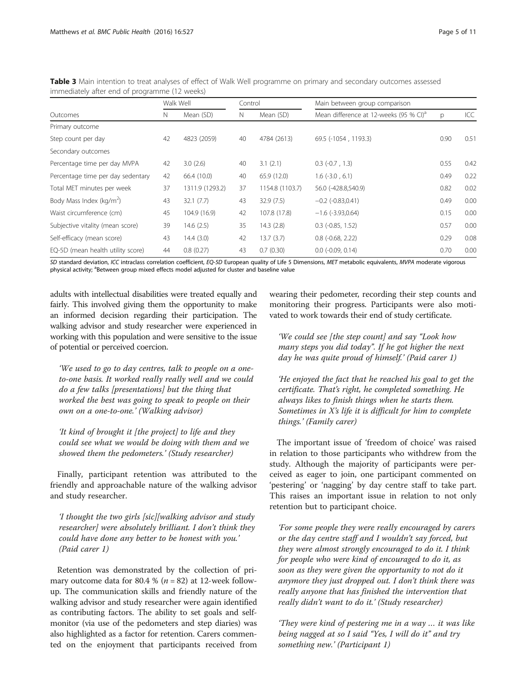|                                      | Walk Well |                 | Control |                 | Main between group comparison                      |      |      |
|--------------------------------------|-----------|-----------------|---------|-----------------|----------------------------------------------------|------|------|
| Outcomes                             | N.        | Mean (SD)       | N       | Mean (SD)       | Mean difference at 12-weeks (95 % CI) <sup>a</sup> | p    | ICC  |
| Primary outcome                      |           |                 |         |                 |                                                    |      |      |
| Step count per day                   | 42        | 4823 (2059)     | 40      | 4784 (2613)     | 69.5 (-1054, 1193.3)                               | 0.90 | 0.51 |
| Secondary outcomes                   |           |                 |         |                 |                                                    |      |      |
| Percentage time per day MVPA         | 42        | 3.0(2.6)        | 40      | 3.1(2.1)        | $0.3$ $(-0.7, 1.3)$                                | 0.55 | 0.42 |
| Percentage time per day sedentary    | 42        | 66.4 (10.0)     | 40      | 65.9 (12.0)     | $1.6(-3.0, 6.1)$                                   | 0.49 | 0.22 |
| Total MET minutes per week           | 37        | 1311.9 (1293.2) | 37      | 1154.8 (1103.7) | 56.0 (-428.8,540.9)                                | 0.82 | 0.02 |
| Body Mass Index (kg/m <sup>2</sup> ) | 43        | 32.1(7.7)       | 43      | 32.9(7.5)       | $-0.2$ ( $-0.83,0.41$ )                            | 0.49 | 0.00 |
| Waist circumference (cm)             | 45        | 104.9 (16.9)    | 42      | 107.8 (17.8)    | $-1.6$ (-3.93,0.64)                                | 0.15 | 0.00 |
| Subjective vitality (mean score)     |           | 14.6(2.5)       | 35      | 14.3(2.8)       | $0.3$ ( $-0.85$ , $1.52$ )                         | 0.57 | 0.00 |
| Self-efficacy (mean score)           | 43        | 14.4(3.0)       | 42      | 13.7(3.7)       | $0.8$ ( $-0.68$ , $2.22$ )                         | 0.29 | 0.08 |
| EQ-5D (mean health utility score)    | 44        | 0.8(0.27)       | 43      | 0.7(0.30)       | $0.0$ ( $-0.09$ , $0.14$ )                         | 0.70 | 0.00 |

<span id="page-4-0"></span>Table 3 Main intention to treat analyses of effect of Walk Well programme on primary and secondary outcomes assessed immediately after end of programme (12 weeks)

 $SD$  standard deviation, ICC intraclass correlation coefficient, EQ-5D European quality of Life 5 Dimensions, MET metabolic equivalents, MVPA moderate vigorous physical activity; <sup>a</sup>Between group mixed effects model adjusted for cluster and baseline value

adults with intellectual disabilities were treated equally and fairly. This involved giving them the opportunity to make an informed decision regarding their participation. The walking advisor and study researcher were experienced in working with this population and were sensitive to the issue of potential or perceived coercion.

'We used to go to day centres, talk to people on a oneto-one basis. It worked really really well and we could do a few talks [presentations] but the thing that worked the best was going to speak to people on their own on a one-to-one.' (Walking advisor)

'It kind of brought it [the project] to life and they could see what we would be doing with them and we showed them the pedometers.' (Study researcher)

Finally, participant retention was attributed to the friendly and approachable nature of the walking advisor and study researcher.

'I thought the two girls [sic][walking advisor and study researcher] were absolutely brilliant. I don't think they could have done any better to be honest with you.' (Paid carer 1)

Retention was demonstrated by the collection of primary outcome data for 80.4 % ( $n = 82$ ) at 12-week followup. The communication skills and friendly nature of the walking advisor and study researcher were again identified as contributing factors. The ability to set goals and selfmonitor (via use of the pedometers and step diaries) was also highlighted as a factor for retention. Carers commented on the enjoyment that participants received from wearing their pedometer, recording their step counts and monitoring their progress. Participants were also motivated to work towards their end of study certificate.

'We could see [the step count] and say "Look how many steps you did today". If he got higher the next day he was quite proud of himself.' (Paid carer 1)

'He enjoyed the fact that he reached his goal to get the certificate. That's right, he completed something. He always likes to finish things when he starts them. Sometimes in X's life it is difficult for him to complete things.' (Family carer)

The important issue of 'freedom of choice' was raised in relation to those participants who withdrew from the study. Although the majority of participants were perceived as eager to join, one participant commented on 'pestering' or 'nagging' by day centre staff to take part. This raises an important issue in relation to not only retention but to participant choice.

'For some people they were really encouraged by carers or the day centre staff and I wouldn't say forced, but they were almost strongly encouraged to do it. I think for people who were kind of encouraged to do it, as soon as they were given the opportunity to not do it anymore they just dropped out. I don't think there was really anyone that has finished the intervention that really didn't want to do it.' (Study researcher)

'They were kind of pestering me in a way … it was like being nagged at so I said "Yes, I will do it" and try something new.' (Participant 1)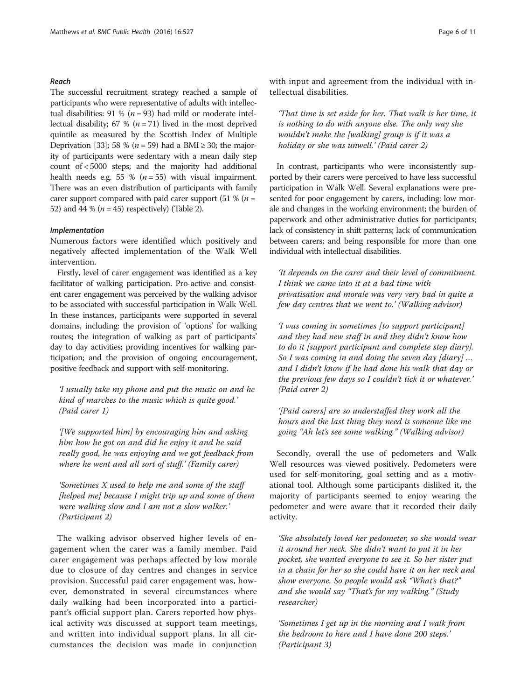# Reach

The successful recruitment strategy reached a sample of participants who were representative of adults with intellectual disabilities: 91 % ( $n = 93$ ) had mild or moderate intellectual disability; 67 % ( $n = 71$ ) lived in the most deprived quintile as measured by the Scottish Index of Multiple Deprivation [\[33](#page-10-0)]; 58 % ( $n = 59$ ) had a BMI ≥ 30; the majority of participants were sedentary with a mean daily step count of < 5000 steps; and the majority had additional health needs e.g. 55 % ( $n = 55$ ) with visual impairment. There was an even distribution of participants with family carer support compared with paid carer support (51 %  $(n =$ 52) and 44 % ( $n = 45$ ) respectively) (Table [2](#page-3-0)).

# Implementation

Numerous factors were identified which positively and negatively affected implementation of the Walk Well intervention.

Firstly, level of carer engagement was identified as a key facilitator of walking participation. Pro-active and consistent carer engagement was perceived by the walking advisor to be associated with successful participation in Walk Well. In these instances, participants were supported in several domains, including: the provision of 'options' for walking routes; the integration of walking as part of participants' day to day activities; providing incentives for walking participation; and the provision of ongoing encouragement, positive feedback and support with self-monitoring.

'I usually take my phone and put the music on and he kind of marches to the music which is quite good.' (Paid carer 1)

'[We supported him] by encouraging him and asking him how he got on and did he enjoy it and he said really good, he was enjoying and we got feedback from where he went and all sort of stuff.' (Family carer)

'Sometimes X used to help me and some of the staff [helped me] because I might trip up and some of them were walking slow and I am not a slow walker.' (Participant 2)

The walking advisor observed higher levels of engagement when the carer was a family member. Paid carer engagement was perhaps affected by low morale due to closure of day centres and changes in service provision. Successful paid carer engagement was, however, demonstrated in several circumstances where daily walking had been incorporated into a participant's official support plan. Carers reported how physical activity was discussed at support team meetings, and written into individual support plans. In all circumstances the decision was made in conjunction with input and agreement from the individual with intellectual disabilities.

'That time is set aside for her. That walk is her time, it is nothing to do with anyone else. The only way she wouldn't make the [walking] group is if it was a holiday or she was unwell.' (Paid carer 2)

In contrast, participants who were inconsistently supported by their carers were perceived to have less successful participation in Walk Well. Several explanations were presented for poor engagement by carers, including: low morale and changes in the working environment; the burden of paperwork and other administrative duties for participants; lack of consistency in shift patterns; lack of communication between carers; and being responsible for more than one individual with intellectual disabilities.

'It depends on the carer and their level of commitment. I think we came into it at a bad time with privatisation and morale was very very bad in quite a few day centres that we went to.' (Walking advisor)

'I was coming in sometimes [to support participant] and they had new staff in and they didn't know how to do it [support participant and complete step diary]. So I was coming in and doing the seven day [diary] … and I didn't know if he had done his walk that day or the previous few days so I couldn't tick it or whatever.' (Paid carer 2)

'[Paid carers] are so understaffed they work all the hours and the last thing they need is someone like me going "Ah let's see some walking." (Walking advisor)

Secondly, overall the use of pedometers and Walk Well resources was viewed positively. Pedometers were used for self-monitoring, goal setting and as a motivational tool. Although some participants disliked it, the majority of participants seemed to enjoy wearing the pedometer and were aware that it recorded their daily activity.

'She absolutely loved her pedometer, so she would wear it around her neck. She didn't want to put it in her pocket, she wanted everyone to see it. So her sister put in a chain for her so she could have it on her neck and show everyone. So people would ask "What's that?" and she would say "That's for my walking." (Study researcher)

'Sometimes I get up in the morning and I walk from the bedroom to here and I have done 200 steps.' (Participant 3)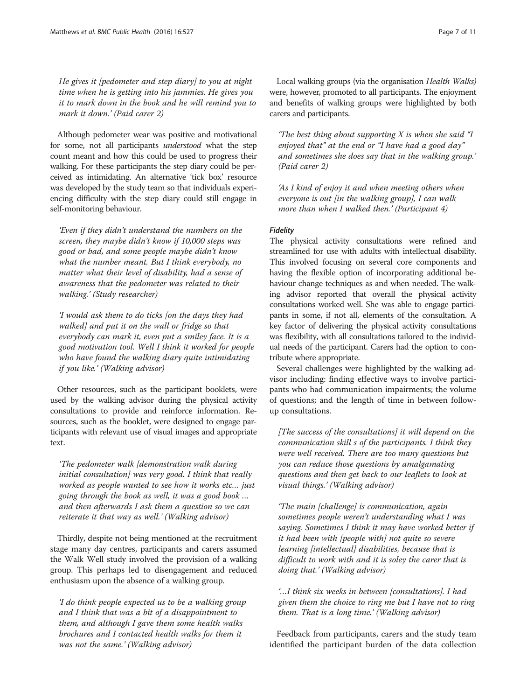He gives it [pedometer and step diary] to you at night time when he is getting into his jammies. He gives you it to mark down in the book and he will remind you to mark it down.' (Paid carer 2)

Although pedometer wear was positive and motivational for some, not all participants understood what the step count meant and how this could be used to progress their walking. For these participants the step diary could be perceived as intimidating. An alternative 'tick box' resource was developed by the study team so that individuals experiencing difficulty with the step diary could still engage in self-monitoring behaviour.

'Even if they didn't understand the numbers on the screen, they maybe didn't know if 10,000 steps was good or bad, and some people maybe didn't know what the number meant. But I think everybody, no matter what their level of disability, had a sense of awareness that the pedometer was related to their walking.' (Study researcher)

'I would ask them to do ticks [on the days they had walked] and put it on the wall or fridge so that everybody can mark it, even put a smiley face. It is a good motivation tool. Well I think it worked for people who have found the walking diary quite intimidating if you like.' (Walking advisor)

Other resources, such as the participant booklets, were used by the walking advisor during the physical activity consultations to provide and reinforce information. Resources, such as the booklet, were designed to engage participants with relevant use of visual images and appropriate text.

'The pedometer walk [demonstration walk during initial consultation] was very good. I think that really worked as people wanted to see how it works etc… just going through the book as well, it was a good book … and then afterwards I ask them a question so we can reiterate it that way as well.' (Walking advisor)

Thirdly, despite not being mentioned at the recruitment stage many day centres, participants and carers assumed the Walk Well study involved the provision of a walking group. This perhaps led to disengagement and reduced enthusiasm upon the absence of a walking group.

'I do think people expected us to be a walking group and I think that was a bit of a disappointment to them, and although I gave them some health walks brochures and I contacted health walks for them it was not the same.' (Walking advisor)

Local walking groups (via the organisation Health Walks) were, however, promoted to all participants. The enjoyment and benefits of walking groups were highlighted by both carers and participants.

'The best thing about supporting  $X$  is when she said "I enjoyed that" at the end or "I have had a good day" and sometimes she does say that in the walking group.' (Paid carer 2)

'As I kind of enjoy it and when meeting others when everyone is out [in the walking group], I can walk more than when I walked then.' (Participant 4)

# Fidelity

The physical activity consultations were refined and streamlined for use with adults with intellectual disability. This involved focusing on several core components and having the flexible option of incorporating additional behaviour change techniques as and when needed. The walking advisor reported that overall the physical activity consultations worked well. She was able to engage participants in some, if not all, elements of the consultation. A key factor of delivering the physical activity consultations was flexibility, with all consultations tailored to the individual needs of the participant. Carers had the option to contribute where appropriate.

Several challenges were highlighted by the walking advisor including: finding effective ways to involve participants who had communication impairments; the volume of questions; and the length of time in between followup consultations.

[The success of the consultations] it will depend on the communication skill s of the participants. I think they were well received. There are too many questions but you can reduce those questions by amalgamating questions and then get back to our leaflets to look at visual things.' (Walking advisor)

'The main [challenge] is communication, again sometimes people weren't understanding what I was saying. Sometimes I think it may have worked better if it had been with [people with] not quite so severe learning [intellectual] disabilities, because that is difficult to work with and it is soley the carer that is doing that.' (Walking advisor)

'…I think six weeks in between [consultations]. I had given them the choice to ring me but I have not to ring them. That is a long time.' (Walking advisor)

Feedback from participants, carers and the study team identified the participant burden of the data collection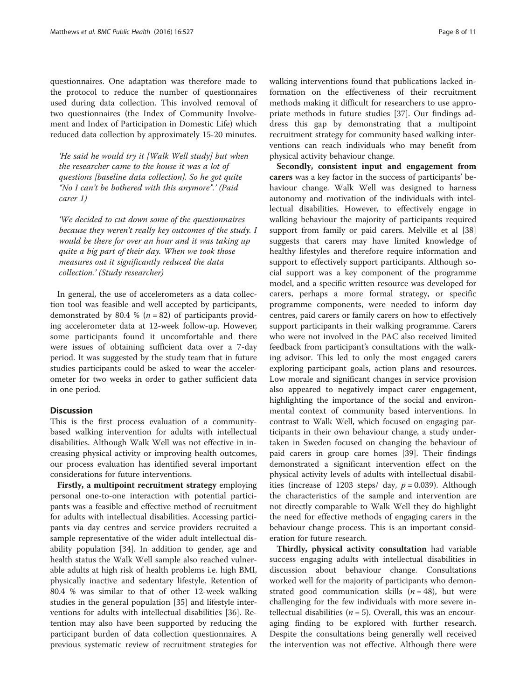questionnaires. One adaptation was therefore made to the protocol to reduce the number of questionnaires used during data collection. This involved removal of two questionnaires (the Index of Community Involvement and Index of Participation in Domestic Life) which reduced data collection by approximately 15-20 minutes.

'He said he would try it [Walk Well study] but when the researcher came to the house it was a lot of questions [baseline data collection]. So he got quite "No I can't be bothered with this anymore".' (Paid carer 1)

'We decided to cut down some of the questionnaires because they weren't really key outcomes of the study. I would be there for over an hour and it was taking up quite a big part of their day. When we took those measures out it significantly reduced the data collection.' (Study researcher)

In general, the use of accelerometers as a data collection tool was feasible and well accepted by participants, demonstrated by 80.4 % ( $n = 82$ ) of participants providing accelerometer data at 12-week follow-up. However, some participants found it uncomfortable and there were issues of obtaining sufficient data over a 7-day period. It was suggested by the study team that in future studies participants could be asked to wear the accelerometer for two weeks in order to gather sufficient data in one period.

# **Discussion**

This is the first process evaluation of a communitybased walking intervention for adults with intellectual disabilities. Although Walk Well was not effective in increasing physical activity or improving health outcomes, our process evaluation has identified several important considerations for future interventions.

Firstly, a multipoint recruitment strategy employing personal one-to-one interaction with potential participants was a feasible and effective method of recruitment for adults with intellectual disabilities. Accessing participants via day centres and service providers recruited a sample representative of the wider adult intellectual disability population [\[34](#page-10-0)]. In addition to gender, age and health status the Walk Well sample also reached vulnerable adults at high risk of health problems i.e. high BMI, physically inactive and sedentary lifestyle. Retention of 80.4 % was similar to that of other 12-week walking studies in the general population [\[35](#page-10-0)] and lifestyle interventions for adults with intellectual disabilities [[36\]](#page-10-0). Retention may also have been supported by reducing the participant burden of data collection questionnaires. A previous systematic review of recruitment strategies for walking interventions found that publications lacked information on the effectiveness of their recruitment methods making it difficult for researchers to use appropriate methods in future studies [\[37](#page-10-0)]. Our findings address this gap by demonstrating that a multipoint recruitment strategy for community based walking interventions can reach individuals who may benefit from physical activity behaviour change.

Secondly, consistent input and engagement from carers was a key factor in the success of participants' behaviour change. Walk Well was designed to harness autonomy and motivation of the individuals with intellectual disabilities. However, to effectively engage in walking behaviour the majority of participants required support from family or paid carers. Melville et al [[38](#page-10-0)] suggests that carers may have limited knowledge of healthy lifestyles and therefore require information and support to effectively support participants. Although social support was a key component of the programme model, and a specific written resource was developed for carers, perhaps a more formal strategy, or specific programme components, were needed to inform day centres, paid carers or family carers on how to effectively support participants in their walking programme. Carers who were not involved in the PAC also received limited feedback from participant's consultations with the walking advisor. This led to only the most engaged carers exploring participant goals, action plans and resources. Low morale and significant changes in service provision also appeared to negatively impact carer engagement, highlighting the importance of the social and environmental context of community based interventions. In contrast to Walk Well, which focused on engaging participants in their own behaviour change, a study undertaken in Sweden focused on changing the behaviour of paid carers in group care homes [[39\]](#page-10-0). Their findings demonstrated a significant intervention effect on the physical activity levels of adults with intellectual disabilities (increase of 1203 steps/ day,  $p = 0.039$ ). Although the characteristics of the sample and intervention are not directly comparable to Walk Well they do highlight the need for effective methods of engaging carers in the behaviour change process. This is an important consideration for future research.

Thirdly, physical activity consultation had variable success engaging adults with intellectual disabilities in discussion about behaviour change. Consultations worked well for the majority of participants who demonstrated good communication skills  $(n = 48)$ , but were challenging for the few individuals with more severe intellectual disabilities ( $n = 5$ ). Overall, this was an encouraging finding to be explored with further research. Despite the consultations being generally well received the intervention was not effective. Although there were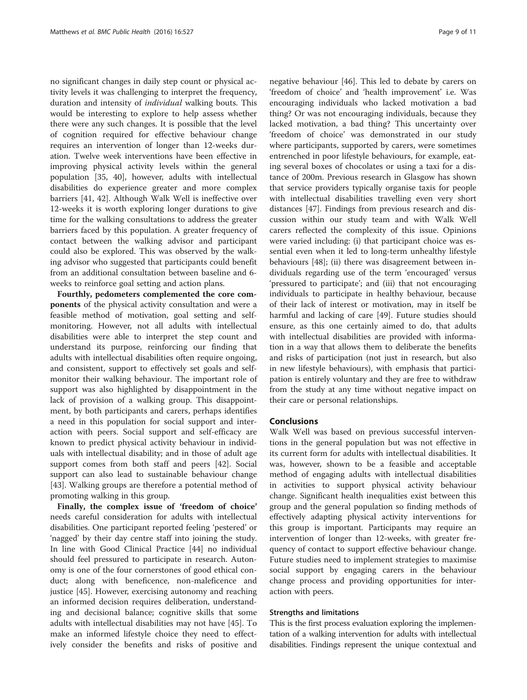no significant changes in daily step count or physical activity levels it was challenging to interpret the frequency, duration and intensity of individual walking bouts. This would be interesting to explore to help assess whether there were any such changes. It is possible that the level of cognition required for effective behaviour change requires an intervention of longer than 12-weeks duration. Twelve week interventions have been effective in improving physical activity levels within the general population [[35, 40\]](#page-10-0), however, adults with intellectual disabilities do experience greater and more complex barriers [[41](#page-10-0), [42\]](#page-10-0). Although Walk Well is ineffective over 12-weeks it is worth exploring longer durations to give time for the walking consultations to address the greater barriers faced by this population. A greater frequency of contact between the walking advisor and participant could also be explored. This was observed by the walking advisor who suggested that participants could benefit from an additional consultation between baseline and 6 weeks to reinforce goal setting and action plans.

Fourthly, pedometers complemented the core components of the physical activity consultation and were a feasible method of motivation, goal setting and selfmonitoring. However, not all adults with intellectual disabilities were able to interpret the step count and understand its purpose, reinforcing our finding that adults with intellectual disabilities often require ongoing, and consistent, support to effectively set goals and selfmonitor their walking behaviour. The important role of support was also highlighted by disappointment in the lack of provision of a walking group. This disappointment, by both participants and carers, perhaps identifies a need in this population for social support and interaction with peers. Social support and self-efficacy are known to predict physical activity behaviour in individuals with intellectual disability; and in those of adult age support comes from both staff and peers [\[42\]](#page-10-0). Social support can also lead to sustainable behaviour change [[43\]](#page-10-0). Walking groups are therefore a potential method of promoting walking in this group.

Finally, the complex issue of 'freedom of choice' needs careful consideration for adults with intellectual disabilities. One participant reported feeling 'pestered' or 'nagged' by their day centre staff into joining the study. In line with Good Clinical Practice [[44\]](#page-10-0) no individual should feel pressured to participate in research. Autonomy is one of the four cornerstones of good ethical conduct; along with beneficence, non-maleficence and justice [\[45](#page-10-0)]. However, exercising autonomy and reaching an informed decision requires deliberation, understanding and decisional balance; cognitive skills that some adults with intellectual disabilities may not have [[45](#page-10-0)]. To make an informed lifestyle choice they need to effectively consider the benefits and risks of positive and

negative behaviour [[46\]](#page-10-0). This led to debate by carers on 'freedom of choice' and 'health improvement' i.e. Was encouraging individuals who lacked motivation a bad thing? Or was not encouraging individuals, because they lacked motivation, a bad thing? This uncertainty over 'freedom of choice' was demonstrated in our study where participants, supported by carers, were sometimes entrenched in poor lifestyle behaviours, for example, eating several boxes of chocolates or using a taxi for a distance of 200m. Previous research in Glasgow has shown that service providers typically organise taxis for people with intellectual disabilities travelling even very short distances [[47](#page-10-0)]. Findings from previous research and discussion within our study team and with Walk Well carers reflected the complexity of this issue. Opinions were varied including: (i) that participant choice was essential even when it led to long-term unhealthy lifestyle behaviours [\[48](#page-10-0)]; (ii) there was disagreement between individuals regarding use of the term 'encouraged' versus 'pressured to participate'; and (iii) that not encouraging individuals to participate in healthy behaviour, because of their lack of interest or motivation, may in itself be harmful and lacking of care [[49\]](#page-10-0). Future studies should ensure, as this one certainly aimed to do, that adults with intellectual disabilities are provided with information in a way that allows them to deliberate the benefits and risks of participation (not just in research, but also in new lifestyle behaviours), with emphasis that participation is entirely voluntary and they are free to withdraw from the study at any time without negative impact on their care or personal relationships.

# Conclusions

Walk Well was based on previous successful interventions in the general population but was not effective in its current form for adults with intellectual disabilities. It was, however, shown to be a feasible and acceptable method of engaging adults with intellectual disabilities in activities to support physical activity behaviour change. Significant health inequalities exist between this group and the general population so finding methods of effectively adapting physical activity interventions for this group is important. Participants may require an intervention of longer than 12-weeks, with greater frequency of contact to support effective behaviour change. Future studies need to implement strategies to maximise social support by engaging carers in the behaviour change process and providing opportunities for interaction with peers.

# Strengths and limitations

This is the first process evaluation exploring the implementation of a walking intervention for adults with intellectual disabilities. Findings represent the unique contextual and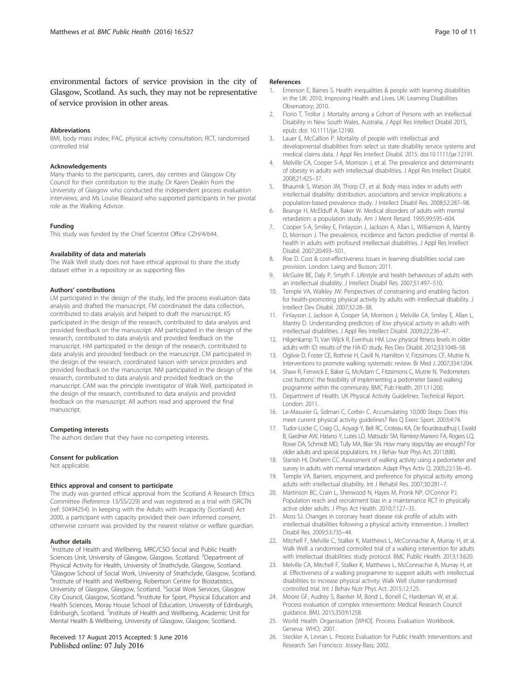#### <span id="page-9-0"></span>Abbreviations

BMI, body mass index; PAC, physical activity consultation; RCT, randomised controlled trial

#### Acknowledgements

Many thanks to the participants, carers, day centres and Glasgow City Council for their contribution to the study; Dr Karen Deakin from the University of Glasgow who conducted the independent process evaluation interviews; and Ms Louise Bleazard who supported participants in her pivotal role as the Walking Advisor.

#### Funding

This study was funded by the Chief Scientist Office CZH/4/644.

#### Availability of data and materials

The Walk Well study does not have ethical approval to share the study dataset either in a repository or as supporting files

#### Authors' contributions

LM participated in the design of the study, led the process evaluation data analysis and drafted the manuscript. FM coordinated the data collection, contributed to data analysis and helped to draft the manuscript. KS participated in the design of the research, contributed to data analysis and provided feedback on the manuscript. AM participated in the design of the research, contributed to data analysis and provided feedback on the manuscript. HM participated in the design of the research, contributed to data analysis and provided feedback on the manuscript. CM participated in the design of the research, coordinated liaison with service providers and provided feedback on the manuscript. NM participated in the design of the research, contributed to data analysis and provided feedback on the manuscript. CAM was the principle investigator of Walk Well, participated in the design of the research, contributed to data analysis and provided feedback on the manuscript. All authors read and approved the final manuscript.

### Competing interests

The authors declare that they have no competing interests.

#### Consent for publication

Not applicable.

#### Ethics approval and consent to participate

The study was granted ethical approval from the Scotland A Research Ethics Committee (Reference 13/SS/229) and was registered as a trial with ISRCTN (ref: 50494254). In keeping with the Adults with Incapacity (Scotland) Act 2000, a participant with capacity provided their own informed consent, otherwise consent was provided by the nearest relative or welfare guardian.

#### Author details

<sup>1</sup>Institute of Health and Wellbeing, MRC/CSO Social and Public Health Sciences Unit, University of Glasgow, Glasgow, Scotland. <sup>2</sup>Department of Physical Activity for Health, University of Strathclyde, Glasgow, Scotland. <sup>3</sup>Glasgow School of Social Work, University of Strathclyde, Glasgow, Scotland. 4 Institute of Health and Wellbeing, Robertson Centre for Biostatistics, University of Glasgow, Glasgow, Scotland. <sup>5</sup>Social Work Services, Glasgow City Council, Glasgow, Scotland. <sup>6</sup>Institute for Sport, Physical Education and Health Sciences, Moray House School of Education, University of Edinburgh, Edinburgh, Scotland. <sup>7</sup>Institute of Health and Wellbeing, Academic Unit for Mental Health & Wellbeing, University of Glasgow, Glasgow, Scotland.

#### Received: 17 August 2015 Accepted: 5 June 2016 Published online: 07 July 2016

#### References

- 1. Emerson E, Baines S. Health inequalities & people with learning disabilities in the UK: 2010, Improving Health and Lives. UK: Learning Disabilities Observatory; 2010.
- 2. Florio T, Trollor J. Mortality among a Cohort of Persons with an Intellectual Disability in New South Wales, Australia. J Appl Res Intellect Disabil 2015, epub: doi: [10.1111/jar.12190](http://dx.doi.org/10.1111/jar.12190).
- 3. Lauer E, McCallion P. Mortality of people with intellectual and developmental disabilities from select us state disability service systems and medical claims data. J Appl Res Intellect Disabil. 2015. doi[:10.1111/jar.12191.](http://dx.doi.org/10.1111/jar.12191)
- 4. Melville CA, Cooper S-A, Morrison J, et al. The prevalence and determinants of obesity in adults with intellectual disabilities. J Appl Res Intellect Disabil. 2008;21:425–37.
- 5. Bhaumik S, Watson JM, Thorp CF, et al. Body mass index in adults with intellectual disability: distribution, associations and service implications: a population-based prevalence study. J Intellect Disabil Res. 2008;52:287–98.
- 6. Beange H, McElduff A, Baker W. Medical disorders of adults with mental retardation: a population study. Am J Ment Retard. 1995;99:595–604.
- 7. Cooper S-A, Smiley E, Finlayson J, Jackson A, Allan L, Williamson A, Mantry D, Morrison J. The prevalence, incidence and factors predictive of mental illhealth in adults with profound intellectual disabilities. J Appl Res Intellect Disabil. 2007;20:493–501.
- 8. Roe D. Cost & cost-effectiveness issues in learning disabilities social care provision. London: Laing and Busson; 2011.
- 9. McGuire BE, Daly P, Smyth F. Lifestyle and health behaviours of adults with an intellectual disability. J Intellect Disabil Res. 2007;51:497–510.
- 10. Temple VA, Walkley JW. Perspectives of constraining and enabling factors for health-promoting physical activity by adults with intellectual disability. J Intellect Dev Disabil. 2007;32:28–38.
- 11. Finlayson J, Jackson A, Cooper SA, Morrison J, Melville CA, Smiley E, Allan L, Mantry D. Understanding predictors of low physical activity in adults with intellectual disabilities. J Appl Res Intellect Disabil. 2009;22:236–47.
- 12. Hilgenkamp TI, Van Wijck R, Evenhuis HM. Low physical fitness levels in older adults with ID: results of the HA-ID study. Res Dev Disabil. 2012;33:1048–58.
- 13. Ogilvie D, Foster CE, Rothnie H, Cavill N, Hamilton V, Fitzsimons CF, Mutrie N. Interventions to promote walking: systematic review. Br Med J. 2007;334:1204.
- 14. Shaw R, Fenwick E, Baker G, McAdam C, Fitzsimons C, Mutrie N. 'Pedometers cost buttons': the feasibility of implementing a pedometer based walking programme within the community. BMC Pub Health. 2011;11:200.
- 15. Department of Health. UK Physical Activity Guidelines: Technical Report. London: 2011.
- 16. Le-Masurier G, Sidman C, Corbin C. Accumulating 10,000 Steps: Does this meet current physical activity guidelines? Res Q Exerc Sport. 2003;4:74.
- 17. Tudor-Locke C, Craig CL, Aoyagi Y, Bell RC, Croteau KA, De Bourdeaudhuij I, Ewald B, Gardner AW, Hatano Y, Lutes LD, Matsudo SM, Ramirez-Marrero FA, Rogers LQ, Rowe DA, Schmidt MD, Tully MA, Blair SN. How many steps/day are enough? For older adults and special populations. Int J Behav Nutr Phys Act. 2011;8:80.
- 18. Stanish HI, Draheim CC. Assessment of walking activity using a pedometer and survey in adults with mental retardation. Adapt Phys Activ Q. 2005;22:136–45.
- 19. Temple VA. Barriers, enjoyment, and preference for physical activity among adults with intellectual disability. Int J Rehabil Res. 2007;30:281–7.
- 20. Martinson BC, Crain L, Sherwood N, Hayes M, Pronk NP, O'Connor PJ. Population reach and recruitment bias in a maintenance RCT in physically active older adults. J Phys Act Health. 2010;7:127–35.
- 21. Moss SJ. Changes in coronary heart disease risk profile of adults with intellectual disabilities following a physical activity intervention. J Intellect Disabil Res. 2009;53:735–44.
- 22. Mitchell F, Melville C, Stalker K, Matthews L, McConnachie A, Murray H, et al. Walk Well: a randomised controlled trial of a walking intervention for adults with intellectual disabilities: study protocol. BMC Public Health. 2013;13:620.
- 23. Melville CA, Mitchell F, Stalker K, Matthews L, McConnachie A, Murray H, et al. Effectiveness of a walking programme to support adults with intellectual disabilities to increase physical activity: Walk Well cluster-randomised controlled trial. Int J Behav Nutr Phys Act. 2015;12:125.
- 24. Moore GF, Audrey S, Baerker M, Bond L, Bonell C, Hardeman W, et al. Process evaluation of complex interventions: Medical Research Council guidance. BMJ. 2015;350:h1258.
- 25. World Health Organisation [WHO]. Process Evaluation Workbook. Geneva: WHO; 2001.
- 26. Steckler A, Linnan L. Process Evaluation for Public Health Interventions and Research. San Francisco: Jossey-Bass; 2002.